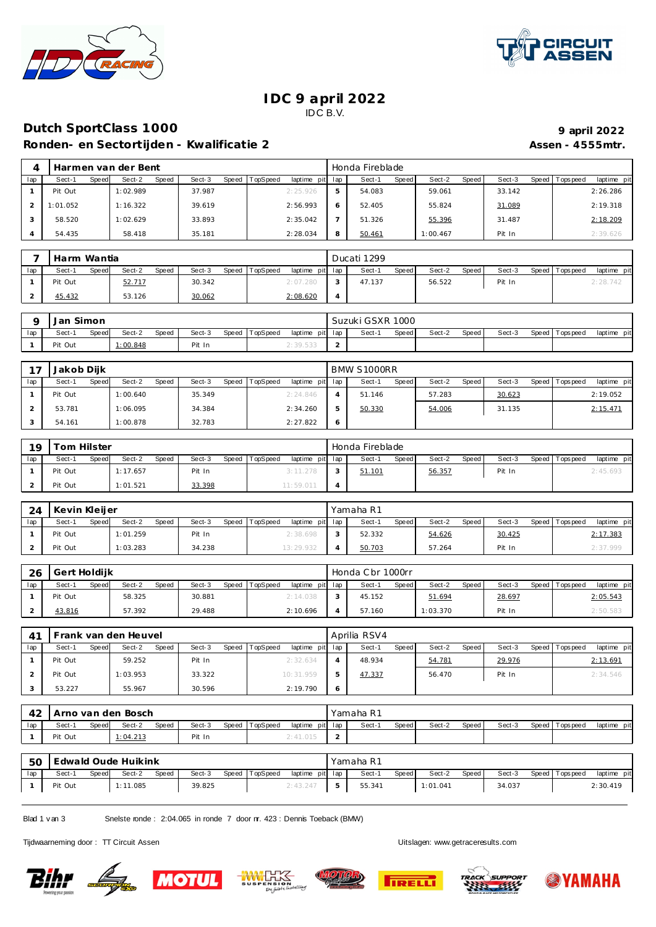



### **IDC 9 april 2022** IDC B.V.

### **Dutch SportClass 1000 1000 1000 9 1000 9 1000 9 1000 9 1000 9 1000 9 1000 9 1000 9 1000 9 1000 9 1000 9 1000 9 1000 9 1000 9 1000 9 1000 9 1000 9 100**

Ronden- en Sectortijden - Kwalificatie 2 **Assen - 4555mtr.** Assen - 4555mtr.

|     | Harmen van der Bent |                 |                 |                                    |   | Honda Fireblade |                 |        |                                |
|-----|---------------------|-----------------|-----------------|------------------------------------|---|-----------------|-----------------|--------|--------------------------------|
| lap | Sect-1<br>Speed     | Sect-2<br>Speed | Sect-3<br>Speed | <b>TopSpeed</b><br>laptime pit lap |   | Speed<br>Sect-1 | Sect-2<br>Speed | Sect-3 | Speed Tops peed<br>laptime pit |
|     | Pit Out             | 1:02.989        | 37.987          | 2:25.926                           | 5 | 54.083          | 59.061          | 33.142 | 2:26.286                       |
|     | 1:01.052            | 1:16.322        | 39.619          | 2:56.993                           |   | 52.405          | 55.824          | 31.089 | 2:19.318                       |
|     | 58.520              | 1:02.629        | 33.893          | 2:35.042                           |   | 51.326          | 55.396          | 31.487 | 2:18.209                       |
|     | 54.435              | 58.418          | 35.181          | 2:28.034                           | 8 | 50.461          | 1:00.467        | Pit In | 2:39.626                       |

|     | Harm Wantia            |                        |        |                                   |          | Ducati 1299     |                 |        |                                  |
|-----|------------------------|------------------------|--------|-----------------------------------|----------|-----------------|-----------------|--------|----------------------------------|
| lap | Sect-1<br><b>Speed</b> | Sect-2<br><b>Speed</b> | Sect-3 | Speed TopSpeed<br>laptime pit lap |          | Sect-1<br>Speed | Sect-2<br>Speed | Sect-3 | Speed   Tops peed<br>laptime pit |
|     | Pit Out                | 52.717                 | 30.342 | 2:07.280                          |          | 47.137          | 56.522          | Pit In | ) 78 74                          |
|     | 45.432                 | 53.126                 | 30.062 | 2:08.620                          | $\Delta$ |                 |                 |        |                                  |

|     | Jan     | Simon |         |       |        |                |                 | Suzuki GSXR 1000 |       |        |       |        |                |             |
|-----|---------|-------|---------|-------|--------|----------------|-----------------|------------------|-------|--------|-------|--------|----------------|-------------|
| lap | Sect-   | Speed | Sect-2  | Speed | Sect-3 | Speed TopSpeed | laptime pit lap | Sect-1           | Speed | Sect-2 | Speed | Sect-3 | Speed Topspeed | laptime pit |
|     | Pit Out |       | :00.848 |       | Pit In |                | 2:39.533        |                  |       |        |       |        |                |             |

| 7 <sub>7</sub> | Jakob Diik |       |          |              |        |       |          |                 |                | <b>BMW S1000RR</b> |              |        |       |        |                 |             |
|----------------|------------|-------|----------|--------------|--------|-------|----------|-----------------|----------------|--------------------|--------------|--------|-------|--------|-----------------|-------------|
| lap            | Sect-1     | Speed | Sect-2   | <b>Speed</b> | Sect-3 | Speed | TopSpeed | laptime pit lap |                | Sect-1             | <b>Speed</b> | Sect-2 | Speed | Sect-3 | Speed Tops peed | laptime pit |
|                | Pit Out    |       | 1:00.640 |              | 35.349 |       |          | 2:24.846        |                | 51.146             |              | 57.283 |       | 30.623 |                 | 2:19.052    |
|                | 53.781     |       | 1:06.095 |              | 34.384 |       |          | 2:34.260        | ь              | 50.330             |              | 54.006 |       | 31.135 |                 | 2:15.471    |
|                | 54.161     |       | 1:00.878 |              | 32.783 |       |          | 2:27.822        | $\ddot{\circ}$ |                    |              |        |       |        |                 |             |

| 19  | Tom Hilster |       |          |       |        |       |          |                 |  | Honda Fireblade |       |        |       |        |                 |             |
|-----|-------------|-------|----------|-------|--------|-------|----------|-----------------|--|-----------------|-------|--------|-------|--------|-----------------|-------------|
| lap | Sect-1      | Speed | Sect-2   | Speed | Sect-3 | Speed | TopSpeed | laptime pit lap |  | Sect-1          | Speed | Sect-2 | Speed | Sect-3 | Speed Tops peed | laptime pit |
|     | Pit Out     |       | 1:17.657 |       | Pit In |       |          | 3:11.278        |  | 51.101          |       | 56.357 |       | Pit In |                 | 2:45.693    |
|     | Pit Out     |       | 1:01.521 |       | 33.398 |       |          | 11:59.011       |  |                 |       |        |       |        |                 |             |

| 24  | Kevin Kleijer |       |          |       |        |       |          |                 | Yamaha R1 |              |        |       |        |                   |             |
|-----|---------------|-------|----------|-------|--------|-------|----------|-----------------|-----------|--------------|--------|-------|--------|-------------------|-------------|
| lap | Sect-1        | Speed | Sect-2   | Speed | Sect-3 | Speed | TopSpeed | laptime pit lap | Sect-1    | <b>Speed</b> | Sect-2 | Speed | Sect-3 | Speed   Tops peed | laptime pit |
|     | Pit Out       |       | 1:01.259 |       | Pit In |       |          | 2:38.698        | 52.332    |              | 54.626 |       | 30.425 |                   | 2:17.383    |
|     | Pit Out       |       | 1:03.283 |       | 34.238 |       |          | 13:29.932       | 50.703    |              | 57.264 |       | Pit In |                   | 2:37.999    |

| 26  | Gert Holdijk |       |        |       |        |       |          |                 | Honda C br 1000rr |       |          |       |        |                 |             |
|-----|--------------|-------|--------|-------|--------|-------|----------|-----------------|-------------------|-------|----------|-------|--------|-----------------|-------------|
| lap | Sect-1       | Speed | Sect-2 | Speed | Sect-3 | Speed | TopSpeed | laptime pit lap | Sect-1            | Speed | Sect-2   | Speed | Sect-3 | Speed Tops peed | laptime pit |
|     | Pit Out      |       | 58.325 |       | 30.881 |       |          | 2:14.038        | 45.152            |       | 51.694   |       | 28.697 |                 | 2:05.543    |
|     | 43.816       |       | 57.392 |       | 29.488 |       |          | 2:10.696        | 57.160            |       | 1:03.370 |       | Pit In |                 | 2:50.583    |

|     |         | Frank van den Heuvel     |                 |                             |   | Aprilia RSV4           |                 |        |                                |
|-----|---------|--------------------------|-----------------|-----------------------------|---|------------------------|-----------------|--------|--------------------------------|
| lap | Sect-1  | Sect-2<br>Speed<br>Speed | Sect-3<br>Speed | TopSpeed<br>laptime pit lap |   | Sect-1<br><b>Speed</b> | Sect-2<br>Speed | Sect-3 | Speed Tops peed<br>laptime pit |
|     | Pit Out | 59.252                   | Pit In          | 2:32.634                    |   | 48.934                 | 54.781          | 29.976 | 2:13.691                       |
|     | Pit Out | 1:03.953                 | 33.322          | 10:31.959                   |   | 47.337                 | 56.470          | Pit In | 2:34.546                       |
|     | 53.227  | 55.967                   | 30.596          | 2:19.790                    | 6 |                        |                 |        |                                |

| 42  |         |       | Arno van den Bosch |       |        |                |                 | Yamaha R1 |       |        |       |        |                 |             |
|-----|---------|-------|--------------------|-------|--------|----------------|-----------------|-----------|-------|--------|-------|--------|-----------------|-------------|
| lap | Sect-1  | Speed | Sect-2             | Speed | Sect-3 | Speed TopSpeed | laptime pit lap | Sect-1    | Speed | Sect-2 | Speed | Sect-3 | Speed Tops peed | laptime pit |
|     | Pit Out |       | 1:04.213           |       | Pit In |                | 2:41.015        |           |       |        |       |        |                 |             |

| 50  |         |       | Edwald Oude Huikink |       |        |       |          |                 | Yamaha R1 |       |          |       |        |                 |             |
|-----|---------|-------|---------------------|-------|--------|-------|----------|-----------------|-----------|-------|----------|-------|--------|-----------------|-------------|
| lap | Sect-'  | Speed | Sect-2              | Speed | Sect-3 | Speed | TopSpeed | laptime pit lap | Sect-1    | Speed | Sect-2   | Speed | Sect-3 | Speed Tops peed | laptime pit |
|     | Pit Out |       | 1.085               |       | 39.825 |       |          | 2:43.247        | 55.341    |       | 1:01.041 |       | 34.037 |                 | 2:30.419    |

Blad 1 v an 3 Snelste ronde : 2:04.065 in ronde 7 door nr. 423 : Dennis Toeback (BMW)

Tijdwaarneming door : TT Circuit Assen Uitslagen:<www.getraceresults.com>

**Bihr Light** 









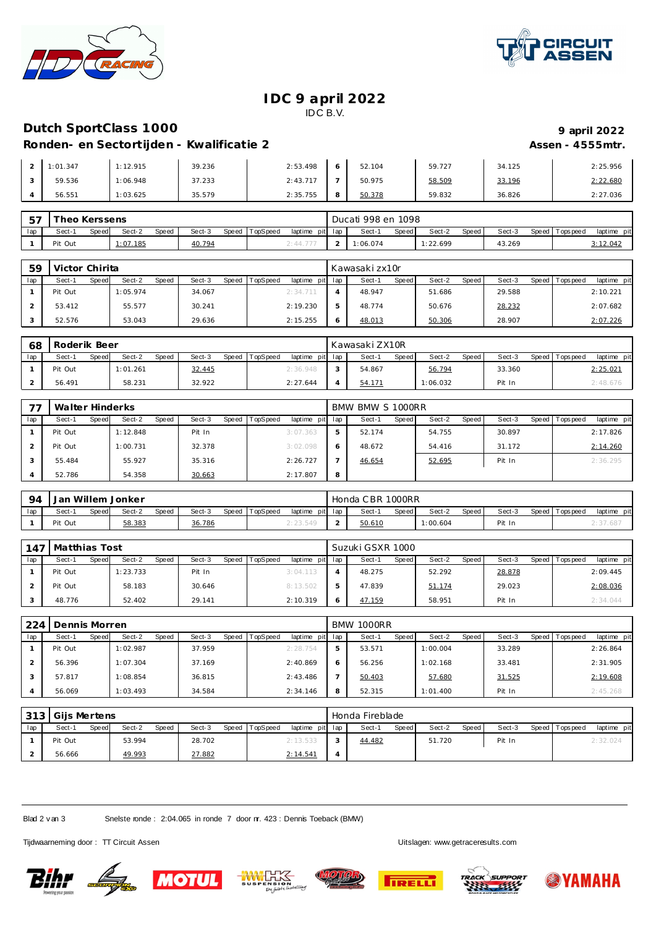



#### **IDC 9 april 2022** IDC B.V.

## **Dutch SportClass 1000 1000 1000 9 1000 9 1000 9 1000 9 1000 9 1000 9 1000 9 1000 9 1000 9 1000 9 1000 9 1000 9 1000 9 1000 9 1000 9 1000 9 1000 9 100**

# **Ronden- en Sectortijden - Kwalificatie 2 Assen - 4555mtr.**

| Ronden- en Sectortijden - Kwalificatie 2 |  |
|------------------------------------------|--|

| 1:01.347 | 1:12.915 | 39.236 | 2:53.498 | 52.104 | 59.727 | 34.125 | 2:25.956 |
|----------|----------|--------|----------|--------|--------|--------|----------|
| 59.536   | 1:06.948 | 37.233 | 2:43.717 | 50.975 | 58.509 | 33.196 | 2:22.680 |
| 56.551   | 1:03.625 | 35.579 | 2:35.755 | 50.378 | 59.832 | 36.826 | 2:27.036 |

| $-$ | Theo Kerssens |       |          |       |        |       |          |                 | Ducati 998 en 1098 |       |         |       |        |                 |             |
|-----|---------------|-------|----------|-------|--------|-------|----------|-----------------|--------------------|-------|---------|-------|--------|-----------------|-------------|
| lap | Sect-1        | Speed | Sect-2   | Speed | Sect-3 | Speed | TopSpeed | laptime pit lap | Sect-1             | Speed | Sect-2  | Speed | Sect-3 | Speed Tops peed | laptime pit |
|     | Pit Out       |       | 1:07.185 |       | 40.794 |       |          | 2:44.777        | :06.074            |       | :22.699 |       | 43.269 |                 | 3:12.042    |

| 59  | Victor Chirita  |                 |                 |                                    | Kawasakizx10r   |                 |        |                                |
|-----|-----------------|-----------------|-----------------|------------------------------------|-----------------|-----------------|--------|--------------------------------|
| lap | Sect-1<br>Speed | Sect-2<br>Speed | Sect-3<br>Speed | laptime pit lap<br><b>TopSpeed</b> | Speed<br>Sect-1 | Sect-2<br>Speed | Sect-3 | laptime pit<br>Speed Tops peed |
|     | Pit Out         | 1:05.974        | 34.067          | 2:34.711                           | 48.947          | 51.686          | 29.588 | 2:10.221                       |
|     | 53.412          | 55.577          | 30.241          | 2:19.230                           | 48.774          | 50.676          | 28.232 | 2:07.682                       |
|     | 52.576          | 53.043          | 29.636          | 2:15.255                           | 48.013          | 50.306          | 28.907 | 2:07.226                       |

| 68  | Roderik Beer |       |          |       |        |       |          |                 |        | l Kawasaki ZX10R |       |          |       |        |                |             |
|-----|--------------|-------|----------|-------|--------|-------|----------|-----------------|--------|------------------|-------|----------|-------|--------|----------------|-------------|
| lap | Sect-1       | Speed | Sect-2   | Speed | Sect-3 | Speed | TopSpeed | laptime pit lap |        | Sect-            | Speed | Sect-2   | Speed | Sect-3 | Speed Topspeed | laptime pit |
|     | Pit Out      |       | 1:01.261 |       | 32.445 |       |          | 2:36.948        | $\sim$ | 54.867           |       | 56.794   |       | 33.360 |                | 2:25.021    |
|     | 56.491       |       | 58.231   |       | 32.922 |       |          | 2:27.644        |        | 54.171           |       | 1:06.032 |       | Pit In |                | 2:48.676    |

|     | Walter Hinderks |       |          |       |        |       |          |                 |   | BMW BMW S 1000RR |       |        |       |        |                |             |
|-----|-----------------|-------|----------|-------|--------|-------|----------|-----------------|---|------------------|-------|--------|-------|--------|----------------|-------------|
| lap | Sect-1          | Speed | Sect-2   | Speed | Sect-3 | Speed | TopSpeed | laptime pit lap |   | Sect-1           | Speed | Sect-2 | Speed | Sect-3 | Speed Topspeed | laptime pit |
|     | Pit Out         |       | 1:12.848 |       | Pit In |       |          | 3:07.363        |   | 52.174           |       | 54.755 |       | 30.897 |                | 2:17.826    |
|     | Pit Out         |       | 1:00.731 |       | 32.378 |       |          | 3:02.098        |   | 48.672           |       | 54.416 |       | 31.172 |                | 2:14.260    |
|     | 55.484          |       | 55.927   |       | 35.316 |       |          | 2:26.727        |   | 46.654           |       | 52.695 |       | Pit In |                | 2:36.295    |
|     | 52.786          |       | 54.358   |       | 30.663 |       |          | 2:17.807        | 8 |                  |       |        |       |        |                |             |

| 94  |         |       | Jan Willem Jonker |              |        |       |          |                 | Honda CBR 1000RR |       |          |       |        |                   |             |
|-----|---------|-------|-------------------|--------------|--------|-------|----------|-----------------|------------------|-------|----------|-------|--------|-------------------|-------------|
| lap | Sect-1  | Speed | Sect-2            | <b>Speed</b> | Sect-3 | Speed | TopSpeed | laptime pit lap | Sect-            | Speed | Sect-2   | Speed | Sect-3 | Speed   Tops peed | laptime pit |
|     | Pit Out |       | 58.383            |              | 36.786 |       |          | ∠: 23.54°       | 50.610           |       | : 00.604 |       | Pit In |                   | 4:37.68     |

| 147 | Matthias Tost |       |          |       |        |       |          |                 | Suzuki GSXR 1000 |       |        |       |        |                 |             |
|-----|---------------|-------|----------|-------|--------|-------|----------|-----------------|------------------|-------|--------|-------|--------|-----------------|-------------|
| lap | Sect-1        | Speed | Sect-2   | Speed | Sect-3 | Speed | TopSpeed | laptime pit lap | Sect-1           | Speed | Sect-2 | Speed | Sect-3 | Speed Tops peed | laptime pit |
|     | Pit Out       |       | 1:23.733 |       | Pit In |       |          | 3:04.113        | 48.275           |       | 52.292 |       | 28.878 |                 | 2:09.445    |
|     | Pit Out       |       | 58.183   |       | 30.646 |       |          | 8:13.502        | 47.839           |       | 51.174 |       | 29.023 |                 | 2:08.036    |
|     | 48.776        |       | 52.402   |       | 29.141 |       |          | 2:10.319        | 47.159           |       | 58.951 |       | Pit In |                 | 2:34.044    |

| 224 | Dennis Morren |       |          |       |        |       |          |                 |   | BMW 1000RR |       |          |       |        |                 |             |
|-----|---------------|-------|----------|-------|--------|-------|----------|-----------------|---|------------|-------|----------|-------|--------|-----------------|-------------|
| lap | Sect-1        | Speed | Sect-2   | Speed | Sect-3 | Speed | TopSpeed | laptime pit lap |   | Sect-1     | Speed | Sect-2   | Speed | Sect-3 | Speed Tops peed | laptime pit |
|     | Pit Out       |       | 1:02.987 |       | 37.959 |       |          | 2:28.754        | ь | 53.571     |       | 1:00.004 |       | 33.289 |                 | 2:26.864    |
|     | 56.396        |       | 1:07.304 |       | 37.169 |       |          | 2:40.869        | 6 | 56.256     |       | 1:02.168 |       | 33.481 |                 | 2:31.905    |
|     | 57.817        |       | 1:08.854 |       | 36.815 |       |          | 2:43.486        |   | 50.403     |       | 57.680   |       | 31.525 |                 | 2:19.608    |
|     | 56.069        |       | 1:03.493 |       | 34.584 |       |          | 2:34.146        | 8 | 52.315     |       | 1:01.400 |       | Pit In |                 | 2:45.268    |

|     | 313   Gijs Mertens |                 |        |                                   |   | Honda Fireblade |        |       |        |                 |             |
|-----|--------------------|-----------------|--------|-----------------------------------|---|-----------------|--------|-------|--------|-----------------|-------------|
| lap | Sect-1<br>Speed    | Sect-2<br>Speed | Sect-3 | Speed TopSpeed<br>laptime pit lap |   | Speed<br>Sect-1 | Sect-2 | Speed | Sect-3 | Speed Tops peed | laptime pit |
|     | Pit Out            | 53.994          | 28.702 | 2:13.533                          |   | 44.482          | 51.720 |       | Pit In |                 | 2:32.024    |
|     | 56.666             | 49.993          | 27.882 | 2:14.541                          | 4 |                 |        |       |        |                 |             |

Blad 2 v an 3 Snelste ronde : 2:04.065 in ronde 7 door nr. 423 : Dennis Toeback (BMW)

Tijdwaarneming door : TT Circuit Assen Uitslagen:<www.getraceresults.com>